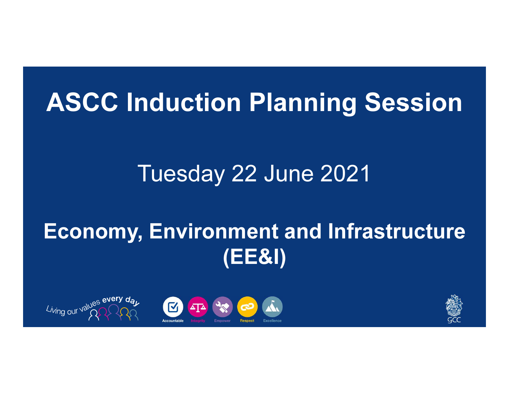# ASCC Induction Planning Session

# Tuesday 22 June 2021

# Economy, Environment and Infrastructure (EE&I)



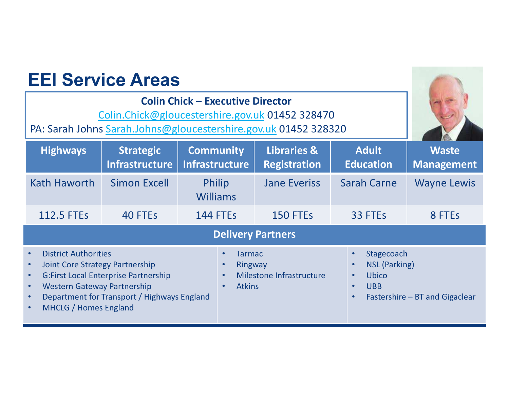| <b>EEI Service Areas</b><br><b>Colin Chick - Executive Director</b><br>Colin.Chick@gloucestershire.gov.uk 01452 328470<br>PA: Sarah Johns Sarah.Johns@gloucestershire.gov.uk 01452 328320                                                                                                                  |                                           |                                           |                                                                       |                                                                                                                                                 |                                   |
|------------------------------------------------------------------------------------------------------------------------------------------------------------------------------------------------------------------------------------------------------------------------------------------------------------|-------------------------------------------|-------------------------------------------|-----------------------------------------------------------------------|-------------------------------------------------------------------------------------------------------------------------------------------------|-----------------------------------|
| <b>Highways</b>                                                                                                                                                                                                                                                                                            | <b>Strategic</b><br><b>Infrastructure</b> | <b>Community</b><br><b>Infrastructure</b> | <b>Libraries &amp;</b><br><b>Registration</b>                         | <b>Adult</b><br><b>Education</b>                                                                                                                | <b>Waste</b><br><b>Management</b> |
| Kath Haworth                                                                                                                                                                                                                                                                                               | <b>Simon Excell</b>                       | Philip<br><b>Williams</b>                 | <b>Jane Everiss</b>                                                   | <b>Sarah Carne</b>                                                                                                                              | <b>Wayne Lewis</b>                |
| <b>112.5 FTEs</b>                                                                                                                                                                                                                                                                                          | 40 FTEs                                   | <b>144 FTEs</b>                           | 150 FTEs                                                              | 33 FTEs                                                                                                                                         | 8 FTEs                            |
| <b>Delivery Partners</b>                                                                                                                                                                                                                                                                                   |                                           |                                           |                                                                       |                                                                                                                                                 |                                   |
| <b>District Authorities</b><br>$\bullet$<br><b>Joint Core Strategy Partnership</b><br>$\bullet$<br><b>G:First Local Enterprise Partnership</b><br>$\bullet$<br><b>Western Gateway Partnership</b><br>$\bullet$<br>Department for Transport / Highways England<br>$\bullet$<br><b>MHCLG / Homes England</b> |                                           |                                           | <b>Tarmac</b><br>Ringway<br>Milestone Infrastructure<br><b>Atkins</b> | Stagecoach<br>$\bullet$<br><b>NSL (Parking)</b><br>Ubico<br>$\bullet$<br><b>UBB</b><br>$\bullet$<br>Fastershire - BT and Gigaclear<br>$\bullet$ |                                   |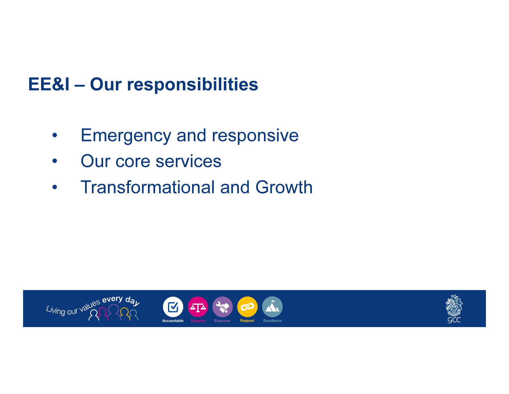### EE&I – Our responsibilities

- $\bullet$ Emergency and responsive
- $\bullet$ Our core services
- $\bullet$ Transformational and Growth

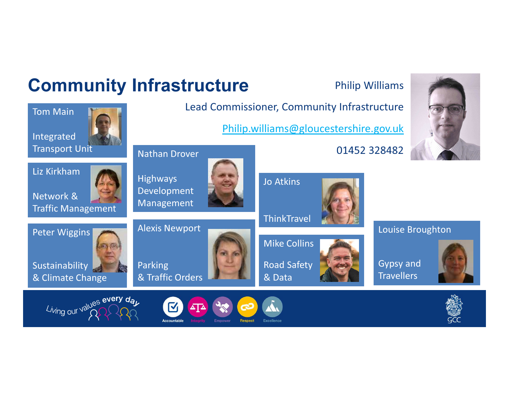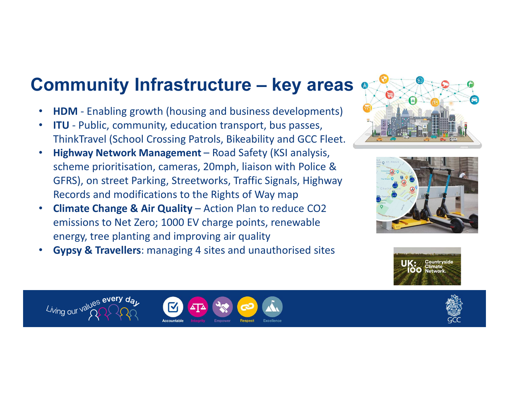### Community Infrastructure – key areas

- •• HDM - Enabling growth (housing and business developments)<br>• FULL Public community education transport, businesses
- $\bullet$ • ITU - Public, community, education transport, bus passes, ThinkTravel (School Crossing Patrols, Bikeability and GCC Fleet.
- •Highway Network Management - Road Safety (KSI analysis, scheme prioritisation, cameras, 20mph, liaison with Police & GFRS), on street Parking, Streetworks, Traffic Signals, Highway Records and modifications to the Rights of Way map
- Climate Change & Air Quality Action Plan to reduce CO2  $\bullet$ emissions to Net Zero; 1000 EV charge points, renewable energy, tree planting and improving air quality
- **Gypsy & Travellers**: managing 4 sites and unauthorised sites •











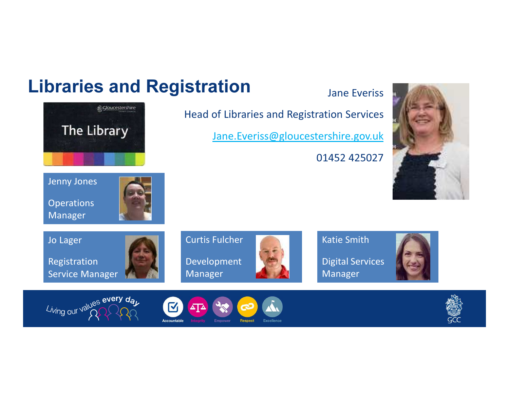### Libraries and Registration



Manager

Curtis FulcherDevelopment

Head of Libraries and Registration Services

Jane.Everiss@gloucestershire.gov.uk

Katie Smith

Manager

01452 425027

Jane Everiss





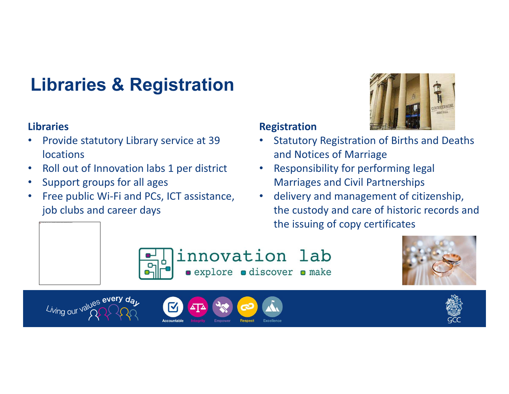## Libraries & Registration

#### Libraries

- • Provide statutory Library service at 39 locations
- $\bullet$ Roll out of Innovation labs 1 per district
- •Support groups for all ages
- • Free public Wi-Fi and PCs, ICT assistance, job clubs and career days

### Registration

- Statutory Registration of Births and Deaths •and Notices of Marriage
- $\bullet$  Responsibility for performing legal Marriages and Civil Partnerships
- delivery and management of citizenship, the custody and care of historic records and the issuing of copy certificates





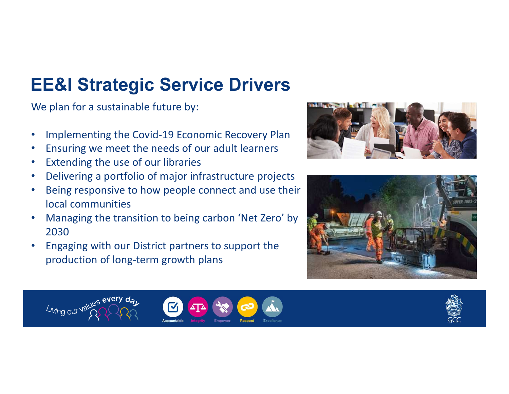### EE&I Strategic Service Drivers

We plan for a sustainable future by:

- •Implementing the Covid-19 Economic Recovery Plan
- •Ensuring we meet the needs of our adult learners
- •Extending the use of our libraries
- •Delivering a portfolio of major infrastructure projects
- • Being responsive to how people connect and use their local communities
- Managing the transition to being carbon 'Net Zero' by •2030
- Engaging with our District partners to support the •production of long-term growth plans